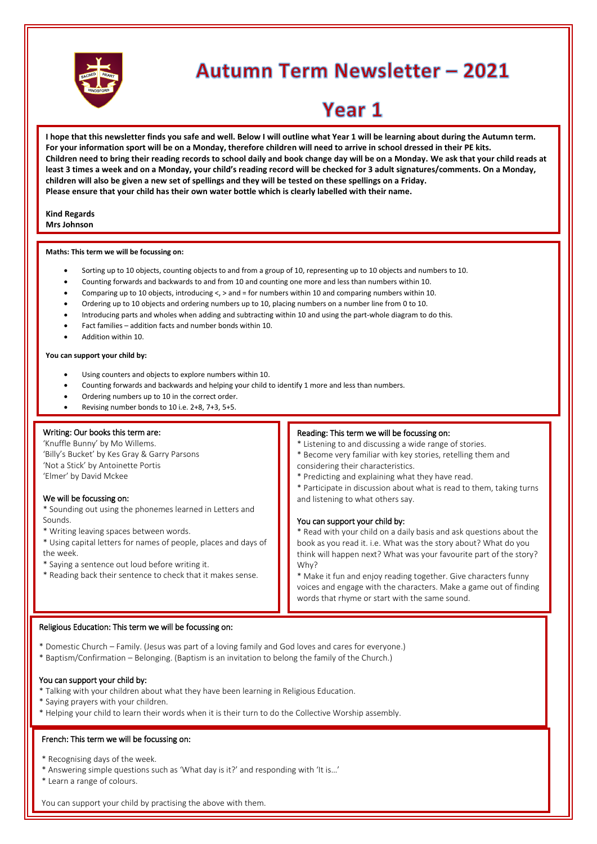

# **Autumn Term Newsletter - 2021**

# Year 1

**I hope that this newsletter finds you safe and well. Below I will outline what Year 1 will be learning about during the Autumn term. For your information sport will be on a Monday, therefore children will need to arrive in school dressed in their PE kits. Children need to bring their reading records to school daily and book change day will be on a Monday. We ask that your child reads at least 3 times a week and on a Monday, your child's reading record will be checked for 3 adult signatures/comments. On a Monday, children will also be given a new set of spellings and they will be tested on these spellings on a Friday. Please ensure that your child has their own water bottle which is clearly labelled with their name.**

#### **Kind Regards Mrs Johnson**

#### **Maths: This term we will be focussing on:**

- Sorting up to 10 objects, counting objects to and from a group of 10, representing up to 10 objects and numbers to 10.
- Counting forwards and backwards to and from 10 and counting one more and less than numbers within 10.
- Comparing up to 10 objects, introducing <, > and = for numbers within 10 and comparing numbers within 10.
- Ordering up to 10 objects and ordering numbers up to 10, placing numbers on a number line from 0 to 10.
- Introducing parts and wholes when adding and subtracting within 10 and using the part-whole diagram to do this.
- Fact families addition facts and number bonds within 10.
- Addition within 10.

# **You can support your child by:**

- Using counters and objects to explore numbers within 10.
- Counting forwards and backwards and helping your child to identify 1 more and less than numbers.
- Ordering numbers up to 10 in the correct order.
- Revising number bonds to 10 i.e. 2+8, 7+3, 5+5.

#### Writing: Our books this term are:

'Knuffle Bunny' by Mo Willems. 'Billy's Bucket' by Kes Gray & Garry Parsons 'Not a Stick' by Antoinette Portis 'Elmer' by David Mckee

## We will be focussing on:

\* Sounding out using the phonemes learned in Letters and Sounds.

- \* Writing leaving spaces between words.
- \* Using capital letters for names of people, places and days of the week.
- \* Saying a sentence out loud before writing it.
- \* Reading back their sentence to check that it makes sense.

# Reading: This term we will be focussing on:

\* Listening to and discussing a wide range of stories.

- \* Become very familiar with key stories, retelling them and considering their characteristics.
- \* Predicting and explaining what they have read.
- \* Participate in discussion about what is read to them, taking turns and listening to what others say.

#### You can support your child by:

\* Read with your child on a daily basis and ask questions about the book as you read it. i.e. What was the story about? What do you think will happen next? What was your favourite part of the story? Why?

\* Make it fun and enjoy reading together. Give characters funny voices and engage with the characters. Make a game out of finding words that rhyme or start with the same sound.

#### Religious Education: This term we will be focussing on:

\* \* Domestic Church – Family. (Jesus was part of a loving family and God loves and cares for everyone.)

\* Baptism/Confirmation – Belonging. (Baptism is an invitation to belong the family of the Church.)

#### You can support your child by:

- \* \* Talking with your children about what they have been learning in Religious Education.
- \* Saying prayers with your children.
- \* Helping your child to learn their words when it is their turn to do the Collective Worship assembly.

# French: This term we will be focussing on:<br>

\* Recognising days of the week.

- \* Answering simple questions such as 'What day is it?' and responding with 'It is…'
- \* Learn a range of colours.

\*

You can support your child by practising the above with them.